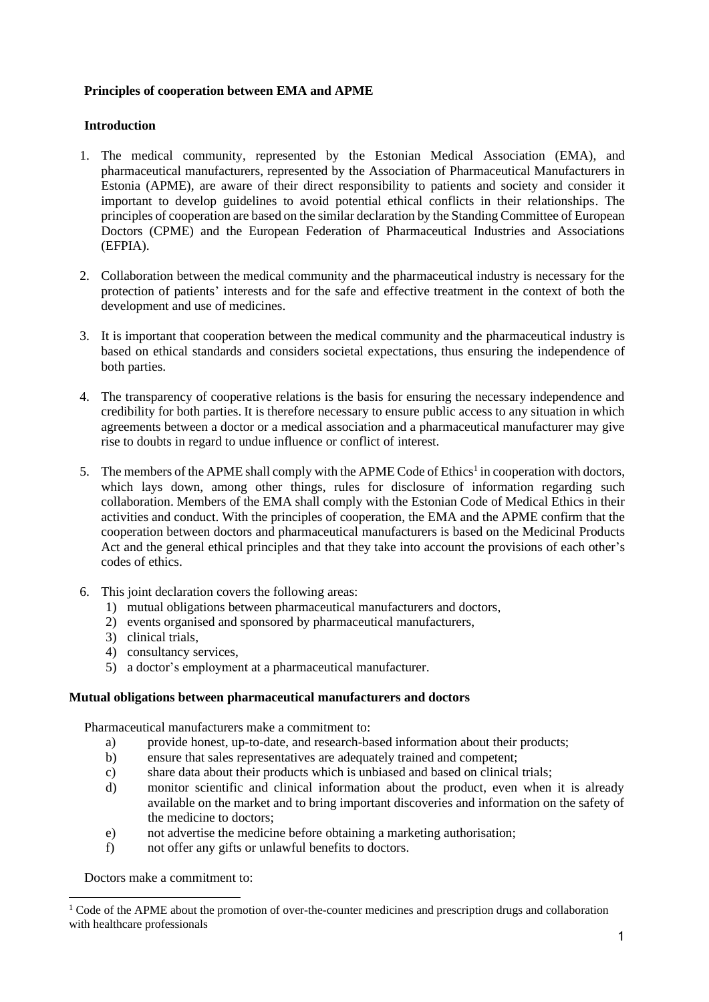# **Principles of cooperation between EMA and APME**

# **Introduction**

- 1. The medical community, represented by the Estonian Medical Association (EMA), and pharmaceutical manufacturers, represented by the Association of Pharmaceutical Manufacturers in Estonia (APME), are aware of their direct responsibility to patients and society and consider it important to develop guidelines to avoid potential ethical conflicts in their relationships. The principles of cooperation are based on the similar declaration by the Standing Committee of European Doctors (CPME) and the European Federation of Pharmaceutical Industries and Associations (EFPIA).
- 2. Collaboration between the medical community and the pharmaceutical industry is necessary for the protection of patients' interests and for the safe and effective treatment in the context of both the development and use of medicines.
- 3. It is important that cooperation between the medical community and the pharmaceutical industry is based on ethical standards and considers societal expectations, thus ensuring the independence of both parties.
- 4. The transparency of cooperative relations is the basis for ensuring the necessary independence and credibility for both parties. It is therefore necessary to ensure public access to any situation in which agreements between a doctor or a medical association and a pharmaceutical manufacturer may give rise to doubts in regard to undue influence or conflict of interest.
- 5. The members of the APME shall comply with the APME Code of Ethics<sup>1</sup> in cooperation with doctors, which lays down, among other things, rules for disclosure of information regarding such collaboration. Members of the EMA shall comply with the Estonian Code of Medical Ethics in their activities and conduct. With the principles of cooperation, the EMA and the APME confirm that the cooperation between doctors and pharmaceutical manufacturers is based on the Medicinal Products Act and the general ethical principles and that they take into account the provisions of each other's codes of ethics.
- 6. This joint declaration covers the following areas:
	- 1) mutual obligations between pharmaceutical manufacturers and doctors,
	- 2) events organised and sponsored by pharmaceutical manufacturers,
	- 3) clinical trials,
	- 4) consultancy services,
	- 5) a doctor's employment at a pharmaceutical manufacturer.

### **Mutual obligations between pharmaceutical manufacturers and doctors**

Pharmaceutical manufacturers make a commitment to:

- a) provide honest, up-to-date, and research-based information about their products;
- b) ensure that sales representatives are adequately trained and competent;
- c) share data about their products which is unbiased and based on clinical trials;
- d) monitor scientific and clinical information about the product, even when it is already available on the market and to bring important discoveries and information on the safety of the medicine to doctors;
- e) not advertise the medicine before obtaining a marketing authorisation;
- f) not offer any gifts or unlawful benefits to doctors.

Doctors make a commitment to:

<sup>&</sup>lt;sup>1</sup> Code of the APME about the promotion of over-the-counter medicines and prescription drugs and collaboration with healthcare professionals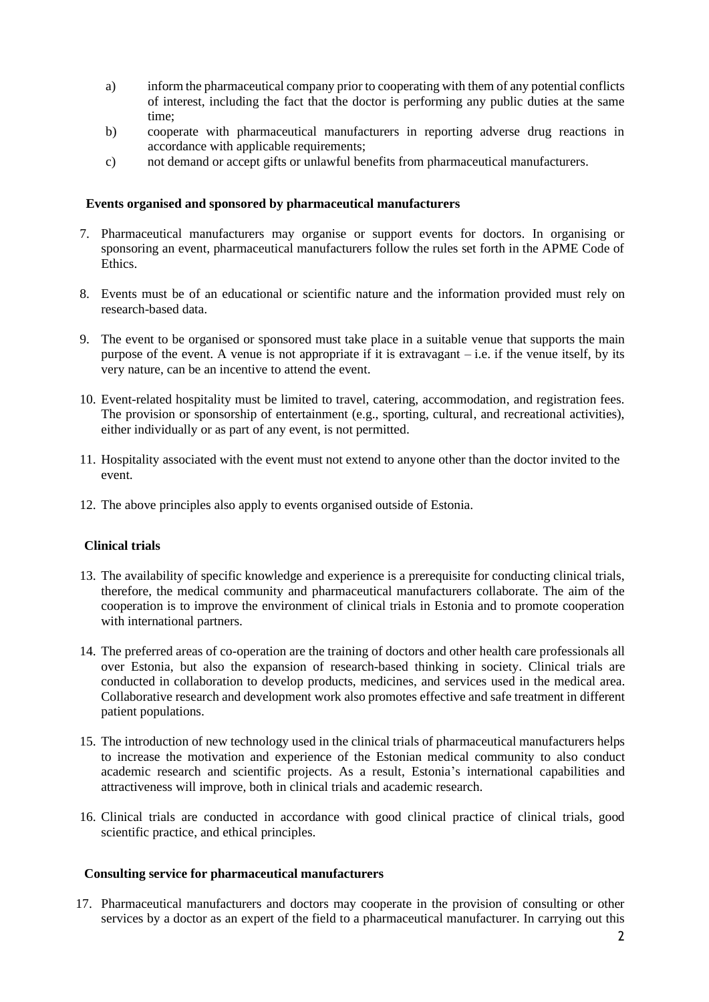- a) inform the pharmaceutical company prior to cooperating with them of any potential conflicts of interest, including the fact that the doctor is performing any public duties at the same time;
- b) cooperate with pharmaceutical manufacturers in reporting adverse drug reactions in accordance with applicable requirements;
- c) not demand or accept gifts or unlawful benefits from pharmaceutical manufacturers.

#### **Events organised and sponsored by pharmaceutical manufacturers**

- 7. Pharmaceutical manufacturers may organise or support events for doctors. In organising or sponsoring an event, pharmaceutical manufacturers follow the rules set forth in the APME Code of Ethics.
- 8. Events must be of an educational or scientific nature and the information provided must rely on research-based data.
- 9. The event to be organised or sponsored must take place in a suitable venue that supports the main purpose of the event. A venue is not appropriate if it is extravagant  $-i.e.$  if the venue itself, by its very nature, can be an incentive to attend the event.
- 10. Event-related hospitality must be limited to travel, catering, accommodation, and registration fees. The provision or sponsorship of entertainment (e.g., sporting, cultural, and recreational activities), either individually or as part of any event, is not permitted.
- 11. Hospitality associated with the event must not extend to anyone other than the doctor invited to the event.
- 12. The above principles also apply to events organised outside of Estonia.

#### **Clinical trials**

- 13. The availability of specific knowledge and experience is a prerequisite for conducting clinical trials, therefore, the medical community and pharmaceutical manufacturers collaborate. The aim of the cooperation is to improve the environment of clinical trials in Estonia and to promote cooperation with international partners.
- 14. The preferred areas of co-operation are the training of doctors and other health care professionals all over Estonia, but also the expansion of research-based thinking in society. Clinical trials are conducted in collaboration to develop products, medicines, and services used in the medical area. Collaborative research and development work also promotes effective and safe treatment in different patient populations.
- 15. The introduction of new technology used in the clinical trials of pharmaceutical manufacturers helps to increase the motivation and experience of the Estonian medical community to also conduct academic research and scientific projects. As a result, Estonia's international capabilities and attractiveness will improve, both in clinical trials and academic research.
- 16. Clinical trials are conducted in accordance with good clinical practice of clinical trials, good scientific practice, and ethical principles.

### **Consulting service for pharmaceutical manufacturers**

17. Pharmaceutical manufacturers and doctors may cooperate in the provision of consulting or other services by a doctor as an expert of the field to a pharmaceutical manufacturer. In carrying out this